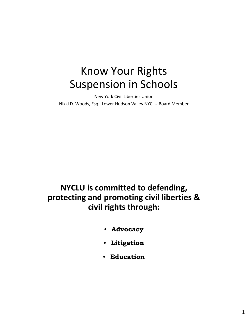## Know Your Rights Suspension in Schools

New York Civil Liberties Union Nikki D. Woods, Esq., Lower Hudson Valley NYCLU Board Member

**NYCLU is committed to defending, protecting and promoting civil liberties & civil rights through:**

- **Advocacy**
- **Litigation**
- **Education**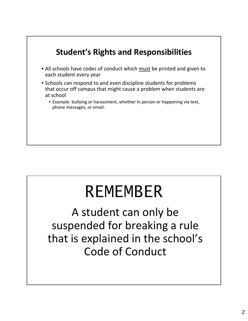

# REMEMBER

A student can only be suspended for breaking a rule that is explained in the school's Code of Conduct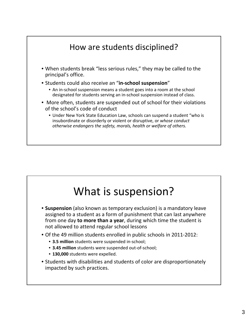

# What is suspension?

- **Suspension** (also known as temporary exclusion) is a mandatory leave assigned to a student as a form of punishment that can last anywhere from one day **to more than a year**, during which time the student is not allowed to attend regular school lessons
- Of the 49 million students enrolled in public schools in 2011‐2012:
	- **3.5 million** students were suspended in‐school;
	- **3.45 million** students were suspended out‐of‐school;
	- **130,000** students were expelled.
- Students with disabilities and students of color are disproportionately impacted by such practices.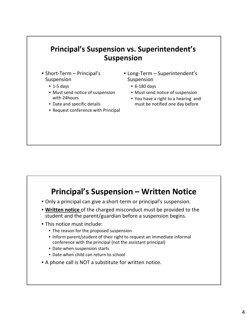

### **Principal's Suspension – Written Notice**

- Only a principal can give a short‐term or principal's suspension.
- **Written notice** of the charged misconduct must be provided to the student and the parent/guardian before a suspension begins.
- This notice must include:
	- The reason for the proposed suspension
	- Inform parent/student of their right to request an immediate informal conference with the principal (not the assistant principal)
	- Date when suspension starts
	- Date when child can return to school
- A phone call is NOT a substitute for written notice.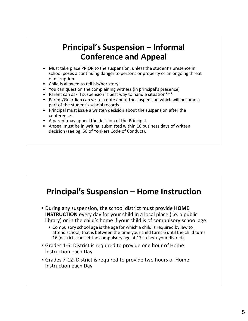### **Principal's Suspension – Informal Conference and Appeal**

- Must take place PRIOR to the suspension, unless the student's presence in school poses a continuing danger to persons or property or an ongoing threat of disruption
- Child is allowed to tell his/her story
- You can question the complaining witness (in principal's presence)
- Parent can ask if suspension is best way to handle situation\*\*\*
- Parent/Guardian can write a note about the suspension which will become a part of the student's school records.
- Principal must issue a written decision about the suspension after the conference.
- A parent may appeal the decision of the Principal.
- Appeal must be in writing, submitted within 10 business days of written decision (see pg. 58 of Yonkers Code of Conduct).

### **Principal's Suspension – Home Instruction**

- During any suspension, the school district must provide **HOME INSTRUCTION** every day for your child in a local place (i.e. a public library) or in the child's home if your child is of compulsory school age
	- Compulsory school age is the age for which a child is required by law to attend school, that is between the time your child turns 6 until the child turns 16 (districts can set the compulsory age at 17 – check your district)
- Grades 1‐6: District is required to provide one hour of Home Instruction each Day
- Grades 7‐12: District is required to provide two hours of Home Instruction each Day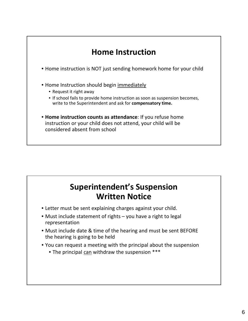

### **Superintendent's Suspension Written Notice**

- Letter must be sent explaining charges against your child.
- Must include statement of rights you have a right to legal representation
- Must include date & time of the hearing and must be sent BEFORE the hearing is going to be held
- You can request a meeting with the principal about the suspension
	- The principal can withdraw the suspension \*\*\*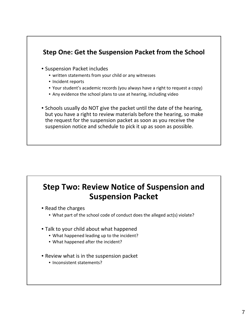

### **Step Two: Review Notice of Suspension and Suspension Packet**

- Read the charges
	- What part of the school code of conduct does the alleged act(s) violate?
- Talk to your child about what happened
	- What happened leading up to the incident?
	- What happened after the incident?
- Review what is in the suspension packet
	- Inconsistent statements?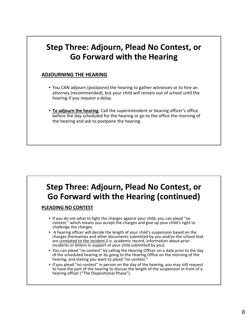### **Step Three: Adjourn, Plead No Contest, or Go Forward with the Hearing**

#### **ADJOURNING THE HEARING**

- You CAN adjourn (postpone) the hearing to gather witnesses or to hire an attorney (recommended), but your child will remain out of school until the hearing if you request a delay.
- **To adjourn the hearing**: Call the superintendent or hearing officer's office before the day scheduled for the hearing or go to the office the morning of the hearing and ask to postpone the hearing.

### **Step Three: Adjourn, Plead No Contest, or Go Forward with the Hearing (continued)**

**PLEADING NO CONTEST**

- If you do not what to fight the charges against your child, you can plead "no contest," which means you accept the charges and give up your child's right to challenge the charges.
- A hearing officer will decide the length of your child's suspension based on the charges themselves and other documents submitted by you and/or the school that are unrelated to the incident (i.e. academic record, information about prior incidents or letters in support of your child submitted by you).
- You can plead "no contest" by calling the Hearing Officer on a date prior to the day of the scheduled hearing or by going to the Hearing Office on the morning of the hearing, and stating you want to plead "no contest."
- If you plead "no contest" in person on the day of the hearing, you may still request to have the part of the hearing to discuss the length of the suspension in front of a hearing officer ("The Dispositional Phase").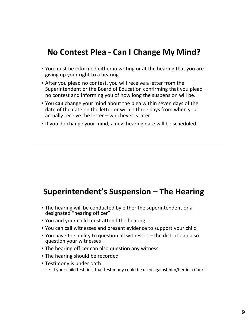### **No Contest Plea ‐ Can I Change My Mind?**

- You must be informed either in writing or at the hearing that you are giving up your right to a hearing.
- After you plead no contest, you will receive a letter from the Superintendent or the Board of Education confirming that you plead no contest and informing you of how long the suspension will be.
- You **can** change your mind about the plea within seven days of the date of the date on the letter or within three days from when you actually receive the letter – whichever is later.
- If you do change your mind, a new hearing date will be scheduled.

### **Superintendent's Suspension – The Hearing**

- The hearing will be conducted by either the superintendent or a designated "hearing officer"
- You and your child must attend the hearing
- You can call witnesses and present evidence to support your child
- You have the ability to question all witnesses the district can also question your witnesses
- The hearing officer can also question any witness
- The hearing should be recorded
- Testimony is under oath
	- If your child testifies, that testimony could be used against him/her in a Court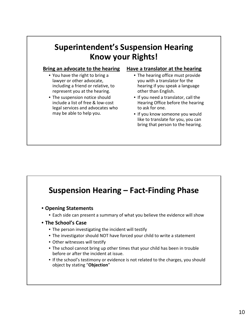### **Superintendent's Suspension Hearing Know your Rights!**

#### **Bring an advocate to the hearing**

- You have the right to bring a lawyer or other advocate, including a friend or relative, to represent you at the hearing.
- The suspension notice should include a list of free & low‐cost legal services and advocates who may be able to help you.

#### **Have a translator at the hearing**

- The hearing office must provide you with a translator for the hearing if you speak a language other than English.
- If you need a translator, call the Hearing Office before the hearing to ask for one.
- If you know someone you would like to translate for you, you can bring that person to the hearing.

### **Suspension Hearing – Fact‐Finding Phase**

- **Opening Statements**
	- Each side can present a summary of what you believe the evidence will show
- **The School's Case**
	- The person investigating the incident will testify
	- The investigator should NOT have forced your child to write a statement
	- Other witnesses will testify
	- The school cannot bring up other times that your child has been in trouble before or after the incident at issue.
	- If the school's testimony or evidence is not related to the charges, you should object by stating "**Objection**"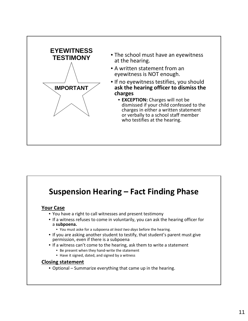

### **Suspension Hearing – Fact Finding Phase**

#### **Your Case**

- You have a right to call witnesses and present testimony
- If a witness refuses to come in voluntarily, you can ask the hearing officer for a **subpoena.**
	- You must aske for a subpoena *at least two days* before the hearing.
- If you are asking another student to testify, that student's parent must give permission, even if there is a subpoena
- If a witness can't come to the hearing, ask them to write a statement
	- Be present when they hand‐write the statement
	- Have it signed, dated, and signed by a witness

#### **Closing statement**

• Optional – Summarize everything that came up in the hearing.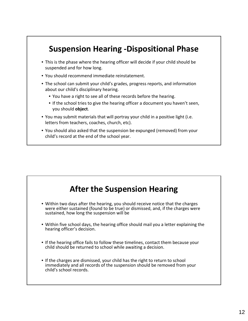### **Suspension Hearing ‐Dispositional Phase**

- This is the phase where the hearing officer will decide if your child should be suspended and for how long.
- You should recommend immediate reinstatement.
- The school can submit your child's grades, progress reports, and information about our child's disciplinary hearing.
	- You have a right to see all of these records before the hearing.
	- If the school tries to give the hearing officer a document you haven't seen, you should **object**.
- You may submit materials that will portray your child in a positive light (i.e. letters from teachers, coaches, church, etc).
- You should also asked that the suspension be expunged (removed) from your child's record at the end of the school year.

### **After the Suspension Hearing**

- Within two days after the hearing, you should receive notice that the charges were either sustained (found to be true) or dismissed, and, if the charges were sustained, how long the suspension will be
- Within five school days, the hearing office should mail you a letter explaining the hearing officer's decision.
- If the hearing office fails to follow these timelines, contact them because your child should be returned to school while awaiting a decision.
- If the charges are dismissed, your child has the right to return to school immediately and all records of the suspension should be removed from your child's school records.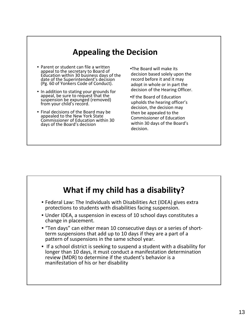### **Appealing the Decision**

- Parent or student can file a written appeal to the secretary to Board of Education within 30 business days of the date of the Superintendent's decision (Pg. 60 of Yonkers Code of Conduct).
- In addition to stating your grounds for appeal, be sure to request that the suspension be expunged (removed) from your child's record.
- Final decisions of the Board may be appealed to the New York State Commissioner of Education within 30 days of the Board's decision

•The Board will make its decision based solely upon the record before it and it may adopt in whole or in part the decision of the Hearing Officer.

•If the Board of Education upholds the hearing officer's decision, the decision may then be appealed to the Commissioner of Education within 30 days of the Board's decision.

### **What if my child has a disability?** • Federal Law: The Individuals with Disabilities Act (IDEA) gives extra protections to students with disabilities facing suspension. • Under IDEA, a suspension in excess of 10 school days constitutes a change in placement. • "Ten days" can either mean <sup>10</sup> consecutive days or <sup>a</sup> series of short‐ term suspensions that add up to <sup>10</sup> days if they are <sup>a</sup> part of <sup>a</sup> pattern of suspensions in the same school year. • If a school district is seeking to suspend a student with a disability for longer than 10 days, it must conduct a manifestation determination review (MDR) to determine if the student's behavior is a manifestation of his or her disability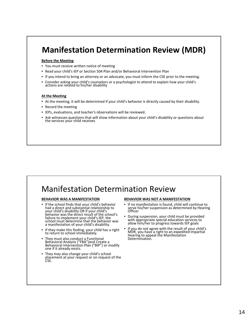### **Manifestation Determination Review (MDR)**

#### **Before the Meeting**

- You must receive written notice of meeting
- Read your child's IEP or Section 504 Plan and/or Behavioral Intervention Plan
- If you intend to bring an attorney or an advocate, you must inform the CSE prior to the meeting.
- Consider asking your child's counselors or a psychologist to attend to explain how your child's actions are related to his/her disability

#### **At the Meeting**

- At the meeting, it will be determined if your child's behavior is directly caused by their disability.
- Record the meeting
- IEPs, evaluations, and teacher's observations will be reviewed.
- Ask witnesses questions that will show information about your child's disability or questions about the services your child receives

### Manifestation Determination Review

#### **BEHAVIOR WAS A MANIFESTATION**

- If the school finds that your child's behavior had a direct and substantial relationship to your child's disability OR if your child's behavior was the direct result of the school's failure to implement your child's IEP, the school must determine that the behavior was a manifestation of your child's disability.
- If they make this finding, your child has a right to return to school immediately.
- They must also conduct a Functional Behavioral Analysis ("FBA")and Create a Behavioral Intervention Plan ("BIP") or modify one if it already exists.
- They may also change your child's school placement at your request or on request of the CSE.

#### **BEHAVIOR WAS NOT A MANIFESTATION**

- If no manifestation is found, child will continue to serve his/her suspension as determined by Hearing<br>Officer
- During suspension, your child must be provided with appropriate special education services to allow him/her to progress towards IEP goals
- If you do not agree with the result of your child's MDR, you have a right to an expedited Impartial Hearing to appeal the Manifestation Determination.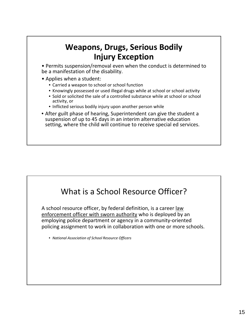### **Weapons, Drugs, Serious Bodily Injury Exception**

• Permits suspension/removal even when the conduct is determined to be a manifestation of the disability.

- Applies when a student:
	- Carried a weapon to school or school function
	- Knowingly possessed or used illegal drugs while at school or school activity
	- Sold or solicited the sale of a controlled substance while at school or school activity, or
	- Inflicted serious bodily injury upon another person while
- After guilt phase of hearing, Superintendent can give the student a suspension of up to 45 days in an interim alternative education setting, where the child will continue to receive special ed services.

### What is a School Resource Officer?

A school resource officer, by federal definition, is a career law enforcement officer with sworn authority who is deployed by an employing police department or agency in a community‐oriented policing assignment to work in collaboration with one or more schools.

• *National Association of School Resource Officers*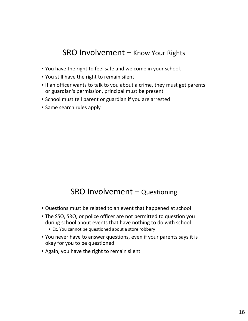



- Questions must be related to an event that happened at school
- The SSO, SRO, or police officer are not permitted to question you during school about events that have nothing to do with school
	- Ex. You cannot be questioned about a store robbery
- You never have to answer questions, even if your parents says it is okay for you to be questioned
- Again, you have the right to remain silent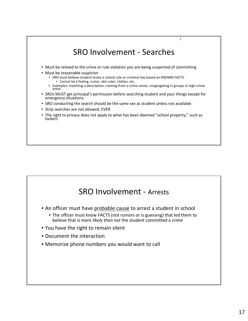

### SRO Involvement ‐ Arrests

- An officer must have probable cause to arrest a student in school
	- The officer must know FACTS (not rumors or is guessing) that led them to believe that is *more likely than not* the student committed a *crime*
- You have the right to remain silent
- Document the interaction
- Memorize phone numbers you would want to call